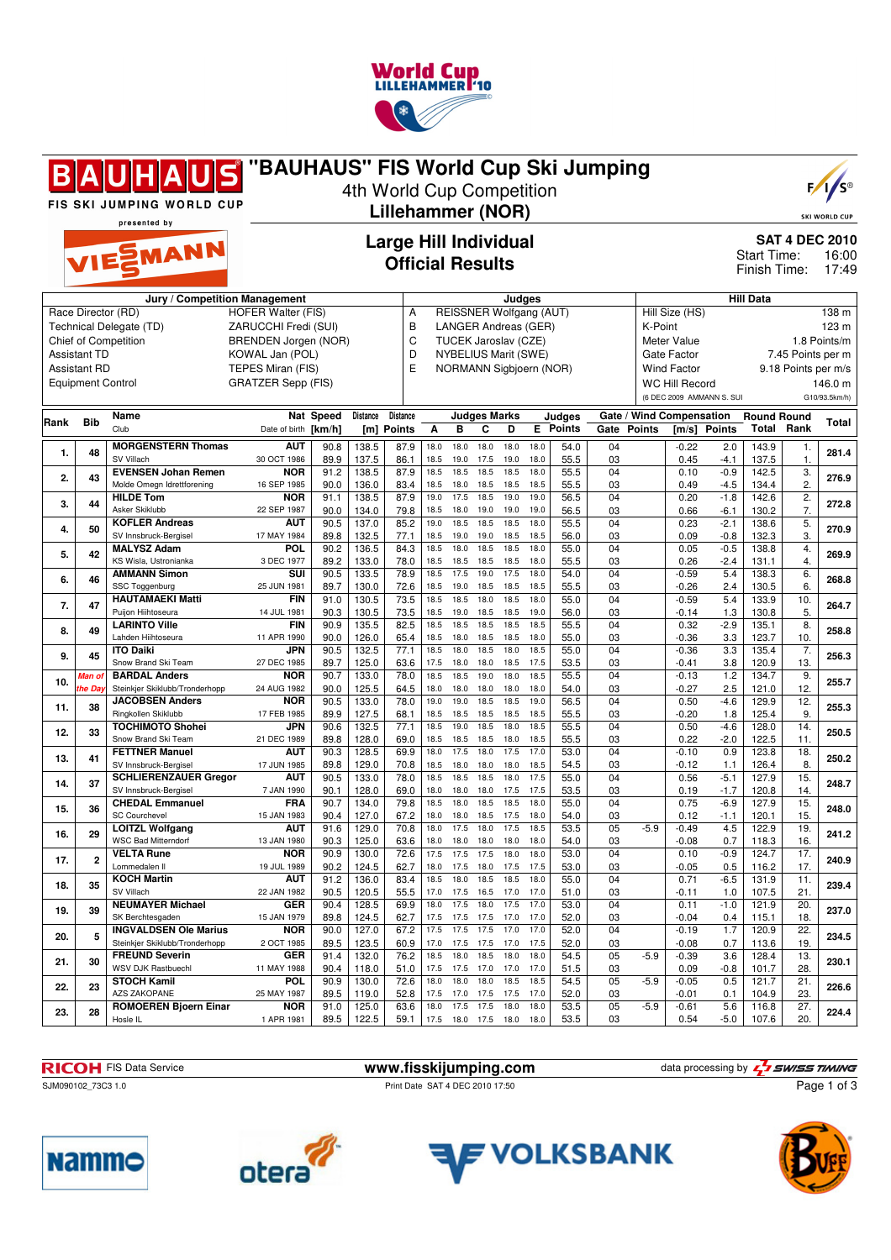

|            |                                                                        | JS<br>H A <br>FIS SKI JUMPING WORLD CUP                                        | "BAUHAUS" FIS World Cup Ski Jumping                                                                |                                                                           |                         | 4th World Cup Competition  |                      |                      |                                                                                                                                                                  |                                                      |                      |                                 |                         |                |                                                                                                                                                                               |                               |                         |                              | $F / \sqrt{S^{\circ}}$<br><b>SKI WORLD CUP</b> |
|------------|------------------------------------------------------------------------|--------------------------------------------------------------------------------|----------------------------------------------------------------------------------------------------|---------------------------------------------------------------------------|-------------------------|----------------------------|----------------------|----------------------|------------------------------------------------------------------------------------------------------------------------------------------------------------------|------------------------------------------------------|----------------------|---------------------------------|-------------------------|----------------|-------------------------------------------------------------------------------------------------------------------------------------------------------------------------------|-------------------------------|-------------------------|------------------------------|------------------------------------------------|
|            |                                                                        | presented by<br>VIESMANN                                                       | <b>Lillehammer (NOR)</b><br><b>Large Hill Individual</b><br><b>Official Results</b>                |                                                                           |                         |                            |                      |                      |                                                                                                                                                                  | <b>SAT 4 DEC 2010</b><br>Start Time:<br>Finish Time: |                      |                                 |                         | 16:00<br>17:49 |                                                                                                                                                                               |                               |                         |                              |                                                |
|            | <b>Assistant TD</b><br><b>Assistant RD</b><br><b>Equipment Control</b> | Race Director (RD)<br>Technical Delegate (TD)<br><b>Chief of Competition</b>   | Jury / Competition Management<br>KOWAL Jan (POL)<br>TEPES Miran (FIS)<br><b>GRATZER Sepp (FIS)</b> | <b>HOFER Walter (FIS)</b><br>ZARUCCHI Fredi (SUI)<br>BRENDEN Jorgen (NOR) |                         |                            |                      |                      | Judges<br><b>REISSNER Wolfgang (AUT)</b><br><b>LANGER Andreas (GER)</b><br>TUCEK Jaroslav (CZE)<br><b>NYBELIUS Marit (SWE)</b><br><b>NORMANN Sigbjoern (NOR)</b> |                                                      |                      |                                 |                         |                | <b>Hill Data</b><br>Hill Size (HS)<br>K-Point<br><b>Meter Value</b><br>Gate Factor<br>7.45 Points per m<br><b>Wind Factor</b><br>9.18 Points per m/s<br><b>WC Hill Record</b> |                               |                         |                              | 138 m<br>123 m<br>1.8 Points/m<br>146.0 m      |
| Rank       | <b>Bib</b>                                                             | Name<br>Club                                                                   |                                                                                                    | Nat Speed                                                                 | Distance                | Distance                   |                      |                      | <b>Judges Marks</b>                                                                                                                                              |                                                      |                      | Judges                          |                         |                | Gate / Wind Compensation                                                                                                                                                      | (6 DEC 2009 AMMANN S. SUI     | <b>Round Round</b>      |                              | G10/93.5km/h)<br>Total                         |
| 1.         | 48                                                                     | <b>MORGENSTERN Thomas</b><br>SV Villach                                        | Date of birth [km/h]<br><b>AUT</b><br>30 OCT 1986                                                  | 90.8<br>89.9                                                              | 138.5<br>137.5          | [m] Points<br>87.9<br>86.1 | Α<br>18.0<br>18.5    | в<br>18.0<br>19.0    | C<br>18.0<br>17.5                                                                                                                                                | D<br>18.0<br>19.0                                    | 18.0<br>18.0         | <b>E</b> Points<br>54.0<br>55.5 | Gate Points<br>04<br>03 |                | $-0.22$<br>0.45                                                                                                                                                               | [m/s] Points<br>2.0<br>$-4.1$ | Total<br>143.9<br>137.5 | Rank<br>1.<br>1.             | 281.4                                          |
| 2.         | 43                                                                     | <b>EVENSEN Johan Remen</b><br>Molde Omegn Idrettforening                       | <b>NOR</b><br>16 SEP 1985                                                                          | 91.2<br>90.0                                                              | 138.5<br>136.0          | 87.9<br>83.4               | 18.5<br>18.5         | 18.5<br>18.0         | 18.5<br>18.5                                                                                                                                                     | 18.5<br>18.5                                         | 18.0<br>18.5         | 55.5<br>55.5                    | 04<br>03                |                | 0.10<br>0.49                                                                                                                                                                  | $-0.9$<br>-4.5                | 142.5<br>134.4          | 3.<br>2.                     | 276.9                                          |
| 3.         | 44                                                                     | <b>HILDE Tom</b><br>Asker Skiklubb<br><b>KOFLER Andreas</b>                    | NOR<br>22 SEP 1987<br><b>AUT</b>                                                                   | 91.1<br>90.0<br>90.5                                                      | 138.5<br>134.0<br>137.0 | 87.9<br>79.8<br>85.2       | 19.0<br>18.5<br>19.0 | 17.5<br>18.0<br>18.5 | 18.5<br>19.0<br>18.5                                                                                                                                             | 19.0<br>19.0<br>18.5                                 | 19.0<br>19.0<br>18.0 | 56.5<br>56.5<br>55.5            | 04<br>03<br>04          |                | 0.20<br>0.66<br>0.23                                                                                                                                                          | $-1.8$<br>$-6.1$<br>$-2.1$    | 142.6<br>130.2<br>138.6 | $\overline{2}$ .<br>7.<br>5. | 272.8                                          |
| 4.         | 50                                                                     | SV Innsbruck-Bergisel<br><b>MALYSZ Adam</b>                                    | 17 MAY 1984<br>POL                                                                                 | 89.8<br>90.2                                                              | 132.5<br>136.5          | 77.1<br>84.3               | 18.5<br>18.5         | 19.0<br>18.0         | 19.0<br>18.5                                                                                                                                                     | 18.5<br>18.5                                         | 18.5<br>18.0         | 56.0<br>55.0                    | 03<br>04                |                | 0.09<br>0.05                                                                                                                                                                  | $-0.8$<br>$-0.5$              | 132.3<br>138.8          | 3.<br>4.                     | 270.9                                          |
| 5.<br>6.   | 42<br>46                                                               | KS Wisla, Ustronianka<br><b>AMMANN Simon</b>                                   | 3 DEC 1977<br>SUI                                                                                  | 89.2<br>90.5                                                              | 133.0<br>133.5          | 78.0<br>78.9               | 18.5<br>18.5         | 18.5<br>17.5         | 18.5<br>19.0                                                                                                                                                     | 18.5<br>17.5                                         | 18.0<br>18.0         | 55.5<br>54.0                    | 03<br>04                |                | 0.26<br>$-0.59$                                                                                                                                                               | $-2.4$<br>5.4                 | 131.1<br>138.3          | 4.<br>6.                     | 269.9<br>268.8                                 |
| 7.         | 47                                                                     | SSC Toggenburg<br><b>HAUTAMAEKI Matti</b><br>Puijon Hiihtoseura                | 25 JUN 1981<br><b>FIN</b>                                                                          | 89.7<br>91.0                                                              | 130.0<br>130.5          | 72.6<br>73.5               | 18.5<br>18.5         | 19.0<br>18.5         | 18.5<br>18.0                                                                                                                                                     | 18.5<br>18.5                                         | 18.5<br>18.0         | 55.5<br>55.0                    | 03<br>04                |                | $-0.26$<br>$-0.59$                                                                                                                                                            | 2.4<br>5.4                    | 130.5<br>133.9          | 6.<br>10.                    | 264.7                                          |
| 8.         | 49                                                                     | <b>LARINTO Ville</b><br>Lahden Hiihtoseura                                     | 14 JUL 1981<br>FIN<br>11 APR 1990                                                                  | 90.3<br>90.9<br>90.0                                                      | 130.5<br>135.5<br>126.0 | 73.5<br>82.5<br>65.4       | 18.5<br>18.5<br>18.5 | 19.0<br>18.5<br>18.0 | 18.5<br>18.5<br>18.5                                                                                                                                             | 18.5<br>18.5<br>18.5                                 | 19.0<br>18.5<br>18.0 | 56.0<br>55.5<br>55.0            | 03<br>04<br>03          |                | $-0.14$<br>0.32<br>$-0.36$                                                                                                                                                    | 1.3<br>$-2.9$<br>3.3          | 130.8<br>135.1<br>123.7 | 5.<br>8.<br>10.              | 258.8                                          |
| 9.         | 45                                                                     | <b>ITO Daiki</b><br>Snow Brand Ski Team                                        | JPN<br>27 DEC 1985                                                                                 | 90.5<br>89.7                                                              | 132.5<br>125.0          | 77.1<br>63.6               | 18.5<br>17.5         | 18.0<br>18.0         | 18.5<br>18.0                                                                                                                                                     | 18.0<br>18.5                                         | 18.5<br>17.5         | 55.0<br>53.5                    | $\overline{04}$<br>03   |                | $-0.36$<br>-0.41                                                                                                                                                              | 3.3<br>3.8                    | 135.4<br>120.9          | $\overline{7}$ .<br>13.      | 256.3                                          |
| 10.        | Man ol<br>the Da                                                       | <b>BARDAL Anders</b><br>Steinkjer Skiklubb/Tronderhopp                         | <b>NOR</b><br>24 AUG 1982                                                                          | 90.7<br>90.0                                                              | 133.0<br>125.5          | 78.0<br>64.5               | 18.5<br>18.0         | 18.5<br>18.0         | 19.0<br>18.0                                                                                                                                                     | 18.0<br>18.0                                         | 18.5<br>18.0         | 55.5<br>54.0                    | 04<br>03                |                | $-0.13$<br>$-0.27$                                                                                                                                                            | 1.2<br>2.5                    | 134.7<br>121.0          | 9.<br>12.                    | 255.7                                          |
| 11.        | 38                                                                     | <b>JACOBSEN Anders</b><br>Ringkollen Skiklubb                                  | <b>NOR</b><br>17 FEB 1985                                                                          | 90.5<br>89.9                                                              | 133.0<br>127.5          | 78.0<br>68.1               | 19.0<br>18.5         | 19.0<br>18.5         | 18.5<br>18.5                                                                                                                                                     | 18.5<br>18.5                                         | 19.0<br>18.5         | 56.5<br>55.5                    | 04<br>03                |                | 0.50<br>$-0.20$                                                                                                                                                               | $-4.6$<br>1.8                 | 129.9<br>125.4          | 12.<br>9.                    | 255.3                                          |
| 12.        | 33                                                                     | <b>TOCHIMOTO Shohei</b><br>Snow Brand Ski Team                                 | JPN<br>21 DEC 1989                                                                                 | 90.6<br>89.8                                                              | 132.5<br>128.0          | 77.1<br>69.0               | 18.5<br>18.5         | 19.0<br>18.5         | 18.5<br>18.5                                                                                                                                                     | 18.0<br>18.0                                         | 18.5<br>18.5         | 55.5<br>55.5                    | 04<br>03                |                | 0.50<br>0.22                                                                                                                                                                  | $-4.6$<br>$-2.0$              | 128.0<br>122.5          | 14.<br>11.                   | 250.5                                          |
| 13.        | 41                                                                     | <b>FETTNER Manuel</b><br>SV Innsbruck-Bergisel<br><b>SCHLIERENZAUER Gregor</b> | <b>AUT</b><br>17 JUN 1985<br><b>AUT</b>                                                            | 90.3<br>89.8                                                              | 128.5<br>129.0<br>133.0 | 69.9<br>70.8<br>78.0       | 18.0<br>18.5<br>18.5 | 17.5<br>18.0<br>18.5 | 18.0<br>18.0<br>18.5                                                                                                                                             | 17.5<br>18.0<br>18.0                                 | 17.0<br>18.5<br>17.5 | 53.0<br>54.5<br>55.0            | 04<br>03<br>04          |                | $-0.10$<br>-0.12<br>0.56                                                                                                                                                      | 0.9<br>1.1<br>$-5.1$          | 123.8<br>126.4<br>127.9 | 18.<br>8.<br>15.             | 250.2                                          |
| 14.        | 37                                                                     | SV Innsbruck-Bergisel<br><b>CHEDAL Emmanuel</b>                                | 7 JAN 1990<br><b>FRA</b>                                                                           | 90.5<br>90.1<br>90.7                                                      | 128.0<br>134.0          | 69.0<br>79.8               | 18.0<br>18.5         | 18.0<br>18.0         | 18.0<br>18.5                                                                                                                                                     | 17.5<br>18.5                                         | 17.5<br>18.0         | 53.5<br>55.0                    | 03<br>04                |                | 0.19<br>0.75                                                                                                                                                                  | $-1.7$<br>$-6.9$              | 120.8<br>127.9          | 14.<br>15.                   | 248.7                                          |
| 15.        | 36                                                                     | <b>SC Courchevel</b><br><b>LOITZL Wolfgang</b>                                 | 15 JAN 1983<br><b>AUT</b>                                                                          | 90.4<br>91.6                                                              | 127.0<br>129.0          | 67.2<br>70.8               | 18.0<br>18.0         |                      | 18.0 18.5<br>17.5 18.0                                                                                                                                           | 17.5<br>17.5                                         | 18.0<br>18.5         | 54.0<br>53.5                    | 03<br>05                | $-5.9$         | 0.12<br>-0.49                                                                                                                                                                 | $-1.1$<br>4.5                 | 120.1<br>122.9          | 15.<br>19.                   | 248.0                                          |
| 16.        | 29                                                                     | <b>WSC Bad Mitterndorf</b><br><b>VELTA Rune</b>                                | 13 JAN 1980<br><b>NOR</b>                                                                          | 90.3<br>90.9                                                              | 125.0<br>130.0          | 63.6<br>72.6               | 18.0<br>17.5         |                      | 18.0 18.0<br>17.5 17.5                                                                                                                                           | 18.0<br>18.0                                         | 18.0<br>18.0         | 54.0<br>53.0                    | 03<br>04                |                | $-0.08$<br>0.10                                                                                                                                                               | 0.7<br>$-0.9$                 | 118.3<br>124.7          | 16.<br>17.                   | 241.2                                          |
| 17.<br>18. | $\mathbf{2}$<br>35                                                     | Lommedalen II<br><b>KOCH Martin</b>                                            | 19 JUL 1989<br><b>AUT</b>                                                                          | 90.2<br>91.2                                                              | 124.5<br>136.0          | 62.7<br>83.4               | 18.0<br>18.5         | 18.0                 | 17.5 18.0<br>18.5                                                                                                                                                | 17.5<br>18.5                                         | 17.5<br>18.0         | 53.0<br>55.0                    | 03<br>04                |                | $-0.05$<br>0.71                                                                                                                                                               | 0.5<br>$-6.5$                 | 116.2<br>131.9          | 17.<br>11.                   | 240.9<br>239.4                                 |
| 19.        | 39                                                                     | SV Villach<br><b>NEUMAYER Michael</b>                                          | 22 JAN 1982<br><b>GER</b>                                                                          | 90.5<br>90.4                                                              | 120.5<br>128.5          | 55.5<br>69.9               | 17.0<br>18.0         |                      | 17.5 16.5<br>17.5 18.0                                                                                                                                           | 17.0<br>17.5                                         | 17.0<br>17.0         | 51.0<br>53.0                    | 03<br>04                |                | -0.11<br>0.11                                                                                                                                                                 | 1.0<br>$-1.0$                 | 107.5<br>121.9          | 21.<br>20.                   | 237.0                                          |
| 20.        | 5                                                                      | SK Berchtesgaden<br><b>INGVALDSEN Ole Marius</b>                               | 15 JAN 1979<br><b>NOR</b>                                                                          | 89.8<br>90.0                                                              | 124.5<br>127.0          | 62.7<br>67.2               | 17.5<br>17.5         |                      | 17.5 17.5<br>17.5 17.5                                                                                                                                           | 17.0<br>17.0                                         | 17.0<br>17.0         | 52.0<br>52.0                    | 03<br>04                |                | -0.04<br>$-0.19$                                                                                                                                                              | 0.4<br>1.7                    | 115.1<br>120.9          | 18.<br>22.                   | 234.5                                          |
| 21.        | 30                                                                     | Steinkjer Skiklubb/Tronderhopp<br><b>FREUND Severin</b><br>WSV DJK Rastbuechl  | 2 OCT 1985<br>GER<br>11 MAY 1988                                                                   | 89.5<br>91.4<br>90.4                                                      | 123.5<br>132.0<br>118.0 | 60.9<br>76.2<br>51.0       | 17.0<br>18.5<br>17.5 | 18.0                 | 17.5 17.5 17.0<br>18.5<br>17.5 17.0                                                                                                                              | 18.0<br>17.0                                         | 17.5<br>18.0<br>17.0 | 52.0<br>54.5<br>51.5            | 03<br>05<br>03          | $-5.9$         | $-0.08$<br>$-0.39$<br>0.09                                                                                                                                                    | 0.7<br>3.6<br>-0.8            | 113.6<br>128.4<br>101.7 | 19.<br>13.<br>28.            | 230.1                                          |
| 22.        | 23                                                                     | <b>STOCH Kamil</b><br>AZS ZAKOPANE                                             | POL<br>25 MAY 1987                                                                                 | 90.9<br>89.5                                                              | 130.0<br>119.0          | 72.6<br>52.8               | 18.0<br>17.5         | 18.0                 | 18.0<br>17.0 17.5                                                                                                                                                | 18.5<br>17.5                                         | 18.5<br>17.0         | 54.5<br>52.0                    | 05<br>03                | $-5.9$         | $-0.05$<br>$-0.01$                                                                                                                                                            | 0.5<br>0.1                    | 121.7<br>104.9          | 21.<br>23.                   | 226.6                                          |
| 23.        | 28                                                                     | <b>ROMOEREN Bjoern Einar</b><br>Hosle IL                                       | <b>NOR</b><br>1 APR 1981                                                                           | 91.0<br>89.5                                                              | 125.0<br>122.5          | 63.6<br>59.1               | 18.0                 |                      | 17.5 17.5<br>17.5 18.0 17.5 18.0                                                                                                                                 | 18.0                                                 | 18.0<br>18.0         | 53.5<br>53.5                    | 05<br>03                | $-5.9$         | $-0.61$<br>0.54                                                                                                                                                               | 5.6<br>-5.0                   | 116.8<br>107.6          | 27.<br>20.                   | 224.4                                          |

FIS Data Service **www.fisskijumping.com** data processing by











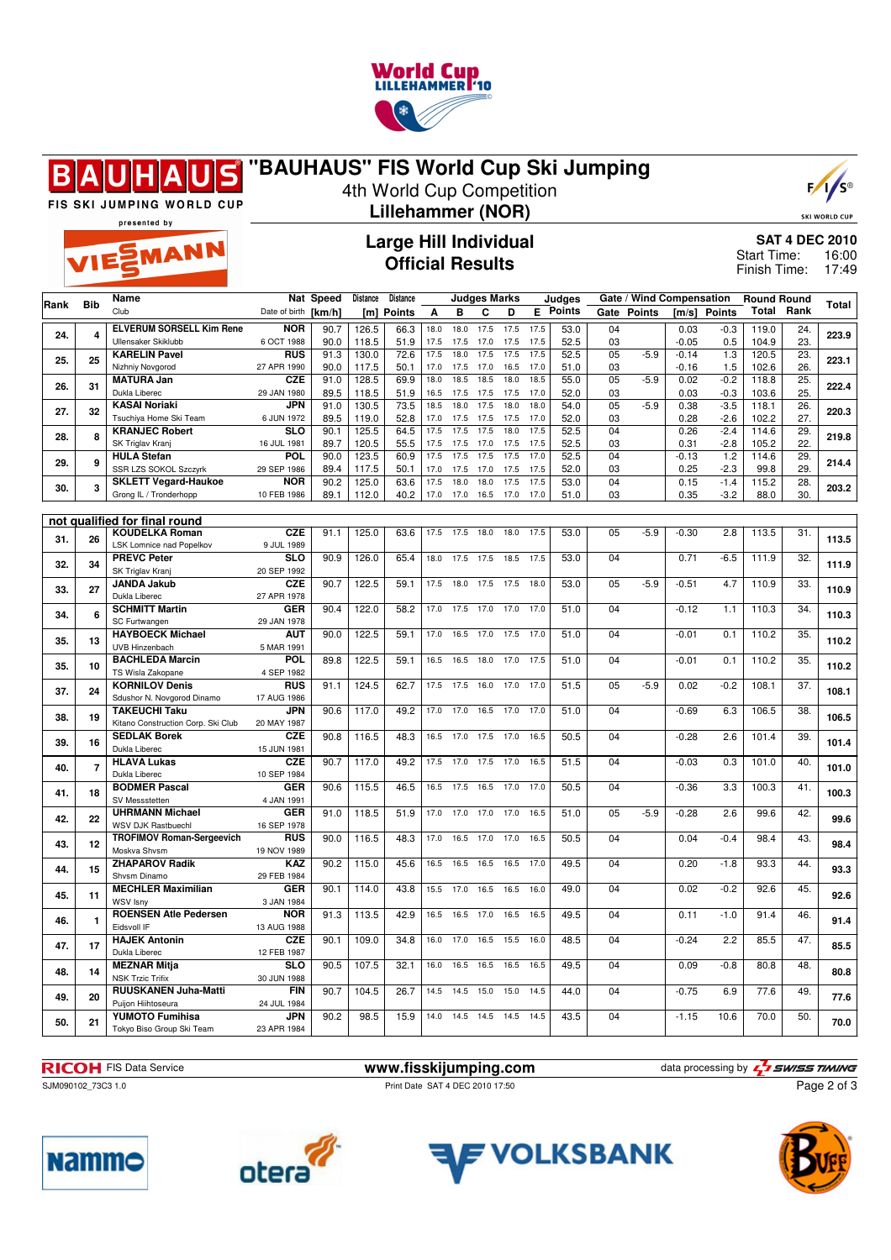

#### **"BAUHAUS" FIS World Cup Ski Jumping**  $\blacksquare$ R



SKI WORLD CUP

FIS SKI JUMPING WORLD CUP presented by

### 4th World Cup Competition **Lillehammer (NOR)**

**Large Hill Individual Official Results**

**SAT 4 DEC 2010** 16:00 17:49 Start Time: Finish Time:

|      |                |                                                        |                          |              |                  | <b>Large Hill Individual</b> |                     |              |              |              |              |               |                      |                          |                    |              |                             | <b>SAT 4 DEC 2010</b>  |                |
|------|----------------|--------------------------------------------------------|--------------------------|--------------|------------------|------------------------------|---------------------|--------------|--------------|--------------|--------------|---------------|----------------------|--------------------------|--------------------|--------------|-----------------------------|------------------------|----------------|
|      |                | VIESMANN                                               |                          |              |                  | <b>Official Results</b>      |                     |              |              |              |              |               |                      |                          |                    |              | Start Time:<br>Finish Time: |                        | 16:00<br>17:49 |
| Rank | <b>Bib</b>     | Name                                                   |                          | Nat Speed    | <b>Distance</b>  | <b>Distance</b>              | <b>Judges Marks</b> |              |              |              | Judges       |               |                      | Gate / Wind Compensation |                    |              | <b>Round Round</b>          |                        | <b>Total</b>   |
|      |                | Club                                                   | Date of birth            | [km/h]       | [ <sub>m</sub> ] | <b>Points</b>                | A                   | в            | C            | D            | Е            | <b>Points</b> | Gate                 | <b>Points</b>            |                    | [m/s] Points | Total                       | Rank                   |                |
| 24.  | 4              | <b>ELVERUM SORSELL Kim Rene</b>                        | <b>NOR</b>               | 90.7         | 126.5            | 66.3                         | 18.0                | 18.0         | 17.5         | 17.5         | 17.5         | 53.0          | 04                   |                          | 0.03               | $-0.3$       | 119.0                       | 24.                    | 223.9          |
|      |                | Ullensaker Skiklubb<br><b>KARELIN Pavel</b>            | 6 OCT 1988<br><b>RUS</b> | 90.0<br>91.3 | 118.5<br>130.0   | 51.9<br>72.6                 | 17.5<br>17.5        | 17.5<br>18.0 | 17.0<br>17.5 | 17.5<br>17.5 | 17.5<br>17.5 | 52.5<br>52.5  | 03<br>0 <sub>5</sub> | $-5.9$                   | $-0.05$<br>$-0.14$ | 0.5<br>1.3   | 104.9<br>120.5              | 23.<br>$\overline{23}$ |                |
| 25.  | 25             | Nizhniy Novgorod                                       | 27 APR 1990              | 90.0         | 117.5            | 50.1                         | 17.0                | 17.5         | 17.0         | 16.5         | 17.0         | 51.0          | 03                   |                          | $-0.16$            | 1.5          | 102.6                       | 26.                    | 223.1          |
|      |                | <b>MATURA Jan</b>                                      | <b>CZE</b>               | 91.0         | 128.5            | 69.9                         | 18.0                | 18.5         | 18.5         | 18.0         | 18.5         | 55.0          | 0 <sub>5</sub>       | $-5.9$                   | 0.02               | $-0.2$       | 118.8                       | 25.                    |                |
| 26.  | 31             | Dukla Liberec                                          | 29 JAN 1980              | 89.5         | 118.5            | 51.9                         | 16.5                | 17.5         | 17.5         | 17.5         | 17.0         | 52.0          | 03                   |                          | 0.03               | $-0.3$       | 103.6                       | 25.                    | 222.4          |
| 27.  | 32             | <b>KASAI Noriaki</b>                                   | JPN                      | 91.0         | 130.5            | 73.5                         | 18.5                | 18.0         | 17.5         | 18.0         | 18.0         | 54.0          | 05                   | $-5.9$                   | 0.38               | $-3.5$       | 118.1                       | 26.                    | 220.3          |
|      |                | Tsuchiya Home Ski Team                                 | 6 JUN 1972               | 89.5         | 119.0            | 52.8                         | 17.0                | 17.5         | 17.5         | 17.5         | 17.0         | 52.0          | 03                   |                          | 0.28               | $-2.6$       | 102.2                       | 27.                    |                |
| 28.  | 8              | <b>KRANJEC Robert</b>                                  | <b>SLO</b>               | 90.1         | 125.5            | 64.5                         | 17.5                | 17.5         | 17.5         | 18.0         | 17.5         | 52.5          | 04                   |                          | 0.26               | $-2.4$       | 114.6                       | $\overline{29}$        | 219.8          |
|      |                | SK Triglav Kranj                                       | 16 JUL 1981              | 89.7         | 120.5            | 55.5                         | 17.5                | 17.5         | 17.0         | 17.5         | 17.5         | 52.5          | 03                   |                          | 0.31               | $-2.8$       | 105.2                       | 22.                    |                |
| 29.  | 9              | <b>HULA</b> Stefan                                     | POL                      | 90.0         | 123.5            | 60.9                         | 17.5                | 17.5         | 17.5         | 17.5         | 17.0         | 52.5          | 04                   |                          | $-0.13$            | 1.2          | 114.6                       | 29.                    | 214.4          |
|      |                | SSR LZS SOKOL Szczyrk                                  | 29 SEP 1986              | 89.4         | 117.5            | 50.1                         | 17.0                | 17.5         | 17.0         | 17.5         | 17.5         | 52.0          | 03                   |                          | 0.25               | $-2.3$       | 99.8                        | 29.                    |                |
| 30.  | 3              | <b>SKLETT Vegard-Haukoe</b>                            | <b>NOR</b>               | 90.2         | 125.0            | 63.6                         | 17.5                | 18.0         | 18.0         | 17.5         | 17.5         | 53.0          | 04                   |                          | 0.15               | $-1.4$       | 115.2                       | 28.                    | 203.2          |
|      |                | Grong IL / Tronderhopp                                 | 10 FEB 1986              | 89.1         | 112.0            | 40.2                         | 17.0                | 17.0         | 16.5         | 17.0         | 17.0         | 51.0          | 03                   |                          | 0.35               | $-3.2$       | 88.0                        | 30.                    |                |
|      |                |                                                        |                          |              |                  |                              |                     |              |              |              |              |               |                      |                          |                    |              |                             |                        |                |
|      |                | not qualified for final round<br><b>KOUDELKA Roman</b> | <b>CZE</b>               | 91.1         | 125.0            | 63.6                         | 17.5                | 17.5         | 18.0         | 18.0         | 17.5         | 53.0          | 05                   | $-5.9$                   | $-0.30$            | 2.8          | 113.5                       | 31.                    |                |
| 31.  | 26             | LSK Lomnice nad Popelkov                               | 9 JUL 1989               |              |                  |                              |                     |              |              |              |              |               |                      |                          |                    |              |                             |                        | 113.5          |
|      |                | <b>PREVC Peter</b>                                     | <b>SLO</b>               | 90.9         | 126.0            | 65.4                         | 18.0                | 17.5         | 17.5         | 18.5         | 17.5         | 53.0          | 04                   |                          | 0.71               | $-6.5$       | 111.9                       | 32.                    |                |
| 32.  | 34             | SK Triglav Kranj                                       | 20 SEP 1992              |              |                  |                              |                     |              |              |              |              |               |                      |                          |                    |              |                             |                        | 111.9          |
|      | 33.<br>27      | <b>JANDA Jakub</b>                                     | <b>CZE</b>               | 90.7         | 122.5            | 59.1                         | 17.5                | 18.0         | 17.5         | 17.5         | 18.0         | 53.0          | 05                   | $-5.9$                   | $-0.51$            | 4.7          | 110.9                       | 33.                    |                |
|      |                | Dukla Liberec                                          | 27 APR 1978              |              |                  |                              |                     |              |              |              |              |               |                      |                          |                    |              |                             |                        | 110.9          |
| 34.  | 6              | <b>SCHMITT Martin</b>                                  | <b>GER</b>               | 90.4         | 122.0            | 58.2                         | 17.0                | 17.5         | 17.0         | 17.0         | 17.0         | 51.0          | 04                   |                          | $-0.12$            | 1.1          | 110.3                       | 34.                    | 110.3          |
|      |                | SC Furtwangen                                          | 29 JAN 1978              |              |                  |                              |                     |              |              |              |              |               |                      |                          |                    |              |                             |                        |                |
| 35.  | 13             | <b>HAYBOECK Michael</b>                                | <b>AUT</b>               | 90.0         | 122.5            | 59.1                         | 17.0                | 16.5         | 17.0         | 17.5         | 17.0         | 51.0          | 04                   |                          | $-0.01$            | 0.1          | 110.2                       | $\overline{35}$        | 110.2          |
|      |                | UVB Hinzenbach                                         | 5 MAR 1991               |              |                  |                              |                     |              |              |              |              |               |                      |                          |                    |              |                             |                        |                |
| 35.  | 10             | <b>BACHLEDA Marcin</b>                                 | POL                      | 89.8         | 122.5            | 59.1                         | 16.5                | 16.5         | 18.0         | 17.0         | 17.5         | 51.0          | 04                   |                          | $-0.01$            | 0.1          | 110.2                       | 35.                    | 110.2          |
|      |                | TS Wisla Zakopane<br><b>KORNILOV Denis</b>             | 4 SEP 1982<br><b>RUS</b> | 91.1         |                  |                              | 17.5                | 17.5         | 16.0         | 17.0         | 17.0         |               | 05                   | $-5.9$                   | 0.02               | $-0.2$       |                             |                        |                |
| 37.  | 24             | Sdushor N. Novgorod Dinamo                             | 17 AUG 1986              |              | 124.5            | 62.7                         |                     |              |              |              |              | 51.5          |                      |                          |                    |              | 108.1                       | 37.                    | 108.1          |
|      |                | <b>TAKEUCHI Taku</b>                                   | <b>JPN</b>               | 90.6         | 117.0            | 49.2                         | 17.0                | 17.0         | 16.5         | 17.0         | 17.0         | 51.0          | 04                   |                          | $-0.69$            | 6.3          | 106.5                       | 38.                    |                |
| 38.  | 19             | Kitano Construction Corp. Ski Club                     | 20 MAY 1987              |              |                  |                              |                     |              |              |              |              |               |                      |                          |                    |              |                             |                        | 106.5          |
|      |                | <b>SEDLAK Borek</b>                                    | <b>CZE</b>               | 90.8         | 116.5            | 48.3                         | 16.5                | 17.0         | 17.5         | 17.0         | 16.5         | 50.5          | 04                   |                          | $-0.28$            | 2.6          | 101.4                       | 39.                    |                |
| 39.  | 16             | Dukla Liberec                                          | 15 JUN 1981              |              |                  |                              |                     |              |              |              |              |               |                      |                          |                    |              |                             |                        | 101.4          |
| 40.  | $\overline{7}$ | <b>HLAVA Lukas</b>                                     | CZE                      | 90.7         | 117.0            | 49.2                         | 17.5                | 17.0         | 17.5         | 17.0         | 16.5         | 51.5          | 04                   |                          | $-0.03$            | 0.3          | 101.0                       | 40.                    | 101.0          |
|      |                | Dukla Liberec                                          | 10 SEP 1984              |              |                  |                              |                     |              |              |              |              |               |                      |                          |                    |              |                             |                        |                |
| 41.  | 18             | <b>BODMER Pascal</b>                                   | <b>GER</b>               | 90.6         | 115.5            | 46.5                         | 16.5                | 17.5         | 16.5         | 17.0         | 17.0         | 50.5          | 04                   |                          | $-0.36$            | 3.3          | 100.3                       | 41.                    | 100.3          |
|      |                | SV Messstetten<br><b>UHRMANN Michael</b>               | 4 JAN 1991<br><b>GER</b> | 91.0         | 118.5            | 51.9                         | 17.0                | 17.0         | 17.0         | 17.0         | 16.5         | 51.0          | 05                   | $-5.9$                   | $-0.28$            | 2.6          | 99.6                        | 42.                    |                |
| 42.  | 22             | WSV DJK Rastbuechl                                     | 16 SEP 1978              |              |                  |                              |                     |              |              |              |              |               |                      |                          |                    |              |                             |                        | 99.6           |
|      |                | <b>TROFIMOV Roman-Sergeevich</b>                       | <b>RUS</b>               | 90.0         | 116.5            | 48.3                         | 17.0                | 16.5         | 17.0         | 17.0         | 16.5         | 50.5          | 04                   |                          | 0.04               | $-0.4$       | 98.4                        | 43.                    |                |
| 43.  | 12             | Moskva Shvsm                                           | 19 NOV 1989              |              |                  |                              |                     |              |              |              |              |               |                      |                          |                    |              |                             |                        | 98.4           |
|      |                | <b>ZHAPAROV Radik</b>                                  | <b>KAZ</b>               | 90.2         | 115.0            | 45.6                         | 16.5                | 16.5         | 16.5         | 16.5         | 17.0         | 49.5          | 04                   |                          | 0.20               | $-1.8$       | 93.3                        | 44.                    |                |
| 44.  | 15             | Shysm Dinamo                                           | 29 FEB 1984              |              |                  |                              |                     |              |              |              |              |               |                      |                          |                    |              |                             |                        | 93.3           |
| 45.  | 11             | <b>MECHLER Maximilian</b>                              | <b>GER</b>               | 90.1         | 114.0            | 43.8                         | 15.5                | 17.0         | 16.5         | 16.5         | 16.0         | 49.0          | 04                   |                          | 0.02               | $-0.2$       | 92.6                        | 45.                    | 92.6           |
|      |                | WSV Isny                                               | 3 JAN 1984               |              |                  |                              |                     |              |              |              |              |               |                      |                          |                    |              |                             |                        |                |
| 46.  | $\mathbf{1}$   | <b>ROENSEN Atle Pedersen</b>                           | <b>NOR</b>               | 91.3         | 113.5            | 42.9                         | 16.5                | 16.5         | 17.0         | 16.5         | 16.5         | 49.5          | 04                   |                          | 0.11               | $-1.0$       | 91.4                        | 46.                    | 91.4           |
|      |                | Eidsvoll IF                                            | 13 AUG 1988              |              |                  |                              |                     |              |              |              |              |               |                      |                          |                    |              |                             |                        |                |
| 47.  | 17             | <b>HAJEK Antonin</b>                                   | <b>CZE</b>               | 90.1         | 109.0            | 34.8                         | 16.0                | 17.0         | 16.5         | 15.5         | 16.0         | 48.5          | 04                   |                          | $-0.24$            | 2.2          | 85.5                        | 47.                    | 85.5           |
|      |                | Dukla Liberec                                          | 12 FEB 1987              |              |                  |                              |                     |              |              |              |              |               |                      |                          |                    |              |                             |                        |                |

**48. 14 MEZNAR Mitja** NSK Trzic Trifix

**49. 20 RUUSKANEN Juha-Matti** Puijon Hiihtoseura

Tokyo Biso Group Ski Team

**50. 21 YUMOTO Fumihisa**

SJM090102\_73C3 1.0 Print Date SAT 4 DEC 2010 17:50

**RICOH** FIS Data Service **www.fisskijumping.com** data processing by  $\frac{7}{2}$  **swiss TIMING** Page 2 of 3





**SLO** 30 JUN 1988

**FIN** 24 JUL 1984

**JPN**<br>23 APR 1984



**JPN** 90.2 98.5 15.9 14.0 14.5 14.5 14.5 14.5 43.5 04 -1.15 10.6 70.0 50. 70.0<br>23 APR 1984

**90.5** 107.5 32.1 16.0 16.5 16.5 16.5 16.5 49.5 04 0.09 0.8 80.8 48. **80.8** 

**90.7** 104.5 26.7 14.5 14.5 15.0 15.0 14.5 44.0 04 -0.75 6.9 77.6 49. 77.6